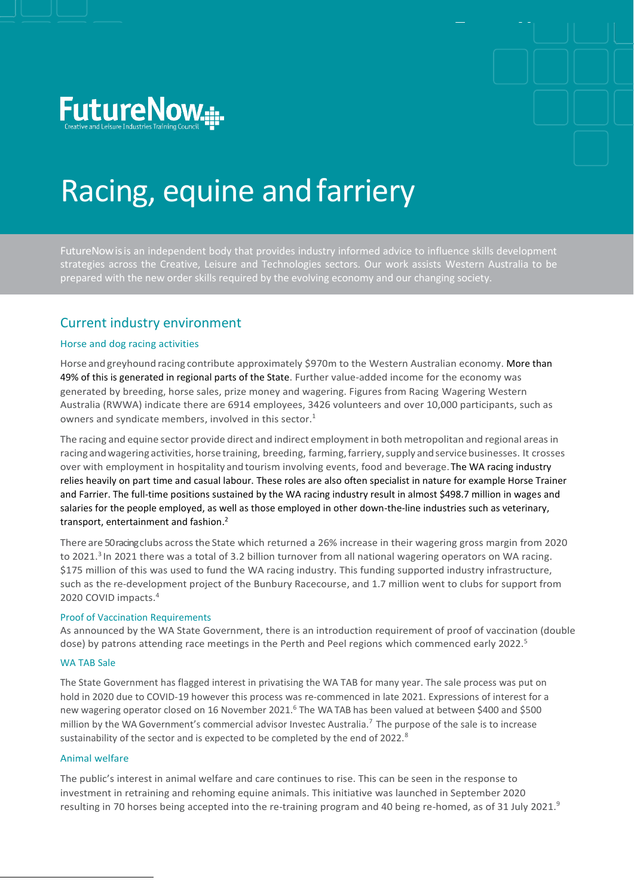



# Racing, equine andfarriery

FutureNowisis an independent body that provides industry informed advice to influence skills development strategies across the Creative, Leisure and Technologies sectors. Our work assists Western Australia to be prepared with the new order skills required by the evolving economy and our changing society.

### Current industry environment

#### Horse and dog racing activities

Horse and greyhound racing contribute approximately \$970m to the Western Australian economy. More than 49% of this is generated in regional parts of the State. Further value-added income for the economy was generated by breeding, horse sales, prize money and wagering. Figures from Racing Wagering Western Australia (RWWA) indicate there are 6914 employees, 3426 volunteers and over 10,000 participants, such as owners and syndicate members, involved in this sector. 1

The racing and equine sector provide direct and indirect employment in both metropolitan and regional areasin racing and wagering activities, horse training, breeding, farming, farriery, supply and service businesses. It crosses over with employment in hospitality and tourism involving events, food and beverage.The WA racing industry relies heavily on part time and casual labour. These roles are also often specialist in nature for example Horse Trainer and Farrier. The full-time positions sustained by the WA racing industry result in almost \$498.7 million in wages and salaries for the people employed, as well as those employed in other down-the-line industries such as veterinary, transport, entertainment and fashion. 2

There are 50 racingclubs acrossthe State which returned a 26% increase in their wagering gross margin from 2020 to 2021.<sup>3</sup> In 2021 there was a total of 3.2 billion turnover from all national wagering operators on WA racing. \$175 million of this was used to fund the WA racing industry. This funding supported industry infrastructure, such as the re-development project of the Bunbury Racecourse, and 1.7 million went to clubs for support from 2020 COVID impacts.<sup>4</sup>

#### Proof of Vaccination Requirements

As announced by the WA State Government, there is an introduction requirement of proof of vaccination (double dose) by patrons attending race meetings in the Perth and Peel regions which commenced early 2022.<sup>5</sup>

#### WA TAB Sale

The State Government has flagged interest in privatising the WA TAB for many year. The sale process was put on hold in 2020 due to COVID-19 however this process was re-commenced in late 2021. Expressions of interest for a new wagering operator closed on 16 November 2021.<sup>6</sup> The WA TAB has been valued at between \$400 and \$500 million by the WA Government's commercial advisor Investec Australia.<sup>7</sup> The purpose of the sale is to increase sustainability of the sector and is expected to be completed by the end of 2022.<sup>8</sup>

#### Animal welfare

The public's interest in animal welfare and care continues to rise. This can be seen in the response to investment in retraining and rehoming equine animals. This initiative was launched in September 2020 resulting in 70 horses being accepted into the re-training program and 40 being re-homed, as of 31 July 2021.<sup>9</sup>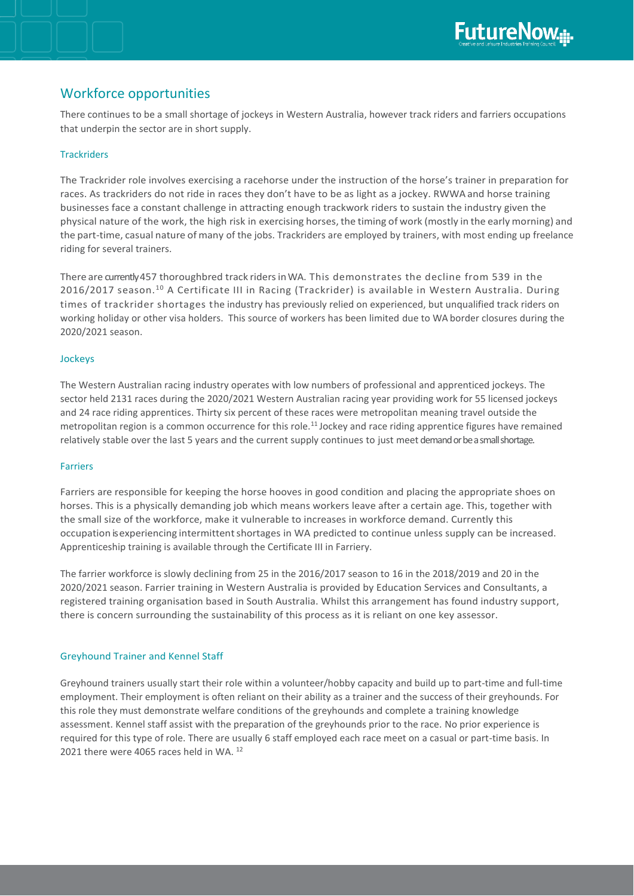## Workforce opportunities

There continues to be a small shortage of jockeys in Western Australia, however track riders and farriers occupations that underpin the sector are in short supply.

#### **Trackriders**

The Trackrider role involves exercising a racehorse under the instruction of the horse's trainer in preparation for races. As trackriders do not ride in races they don't have to be as light as a jockey. RWWA and horse training businesses face a constant challenge in attracting enough trackwork riders to sustain the industry given the physical nature of the work, the high risk in exercising horses, the timing of work (mostly in the early morning) and the part-time, casual nature of many of the jobs. Trackriders are employed by trainers, with most ending up freelance riding for several trainers.

There are currently 457 thoroughbred track riders in WA. This demonstrates the decline from 539 in the 2016/2017 season.<sup>10</sup> A Certificate III in Racing (Trackrider) is available in Western Australia. During times of trackrider shortages the industry has previously relied on experienced, but unqualified track riders on working holiday or other visa holders. This source of workers has been limited due to WA border closures during the 2020/2021 season.

#### Jockeys

The Western Australian racing industry operates with low numbers of professional and apprenticed jockeys. The sector held 2131 races during the 2020/2021 Western Australian racing year providing work for 55 licensed jockeys and 24 race riding apprentices. Thirty six percent of these races were metropolitan meaning travel outside the metropolitan region is a common occurrence for this role.<sup>11</sup> Jockey and race riding apprentice figures have remained relatively stable over the last 5 years and the current supply continues to just meet demandor be a small shortage.

#### Farriers

Farriers are responsible for keeping the horse hooves in good condition and placing the appropriate shoes on horses. This is a physically demanding job which means workers leave after a certain age. This, together with the small size of the workforce, make it vulnerable to increases in workforce demand. Currently this occupation isexperiencing intermittentshortages in WA predicted to continue unless supply can be increased. Apprenticeship training is available through the Certificate III in Farriery.

The farrier workforce is slowly declining from 25 in the 2016/2017 season to 16 in the 2018/2019 and 20 in the 2020/2021 season. Farrier training in Western Australia is provided by Education Services and Consultants, a registered training organisation based in South Australia. Whilst this arrangement has found industry support, there is concern surrounding the sustainability of this process as it is reliant on one key assessor.

#### Greyhound Trainer and Kennel Staff

Greyhound trainers usually start their role within a volunteer/hobby capacity and build up to part-time and full-time employment. Their employment is often reliant on their ability as a trainer and the success of their greyhounds. For this role they must demonstrate welfare conditions of the greyhounds and complete a training knowledge assessment. Kennel staff assist with the preparation of the greyhounds prior to the race. No prior experience is required for this type of role. There are usually 6 staff employed each race meet on a casual or part-time basis. In 2021 there were 4065 races held in WA.<sup>12</sup>